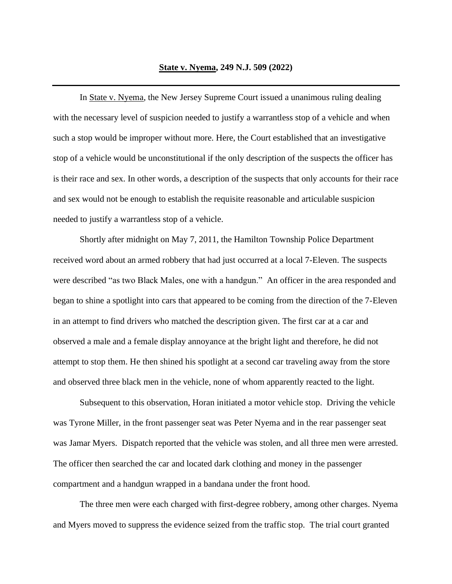In State v. Nyema, the New Jersey Supreme Court issued a unanimous ruling dealing with the necessary level of suspicion needed to justify a warrantless stop of a vehicle and when such a stop would be improper without more. Here, the Court established that an investigative stop of a vehicle would be unconstitutional if the only description of the suspects the officer has is their race and sex. In other words, a description of the suspects that only accounts for their race and sex would not be enough to establish the requisite reasonable and articulable suspicion needed to justify a warrantless stop of a vehicle.

Shortly after midnight on May 7, 2011, the Hamilton Township Police Department received word about an armed robbery that had just occurred at a local 7-Eleven. The suspects were described "as two Black Males, one with a handgun." An officer in the area responded and began to shine a spotlight into cars that appeared to be coming from the direction of the 7-Eleven in an attempt to find drivers who matched the description given. The first car at a car and observed a male and a female display annoyance at the bright light and therefore, he did not attempt to stop them. He then shined his spotlight at a second car traveling away from the store and observed three black men in the vehicle, none of whom apparently reacted to the light.

Subsequent to this observation, Horan initiated a motor vehicle stop. Driving the vehicle was Tyrone Miller, in the front passenger seat was Peter Nyema and in the rear passenger seat was Jamar Myers. Dispatch reported that the vehicle was stolen, and all three men were arrested. The officer then searched the car and located dark clothing and money in the passenger compartment and a handgun wrapped in a bandana under the front hood.

The three men were each charged with first-degree robbery, among other charges. Nyema and Myers moved to suppress the evidence seized from the traffic stop. The trial court granted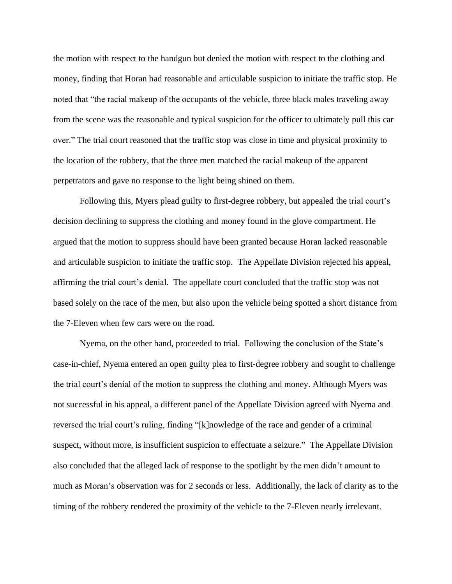the motion with respect to the handgun but denied the motion with respect to the clothing and money, finding that Horan had reasonable and articulable suspicion to initiate the traffic stop. He noted that "the racial makeup of the occupants of the vehicle, three black males traveling away from the scene was the reasonable and typical suspicion for the officer to ultimately pull this car over." The trial court reasoned that the traffic stop was close in time and physical proximity to the location of the robbery, that the three men matched the racial makeup of the apparent perpetrators and gave no response to the light being shined on them.

Following this, Myers plead guilty to first-degree robbery, but appealed the trial court's decision declining to suppress the clothing and money found in the glove compartment. He argued that the motion to suppress should have been granted because Horan lacked reasonable and articulable suspicion to initiate the traffic stop. The Appellate Division rejected his appeal, affirming the trial court's denial. The appellate court concluded that the traffic stop was not based solely on the race of the men, but also upon the vehicle being spotted a short distance from the 7-Eleven when few cars were on the road.

Nyema, on the other hand, proceeded to trial. Following the conclusion of the State's case-in-chief, Nyema entered an open guilty plea to first-degree robbery and sought to challenge the trial court's denial of the motion to suppress the clothing and money. Although Myers was not successful in his appeal, a different panel of the Appellate Division agreed with Nyema and reversed the trial court's ruling, finding "[k]nowledge of the race and gender of a criminal suspect, without more, is insufficient suspicion to effectuate a seizure." The Appellate Division also concluded that the alleged lack of response to the spotlight by the men didn't amount to much as Moran's observation was for 2 seconds or less. Additionally, the lack of clarity as to the timing of the robbery rendered the proximity of the vehicle to the 7-Eleven nearly irrelevant.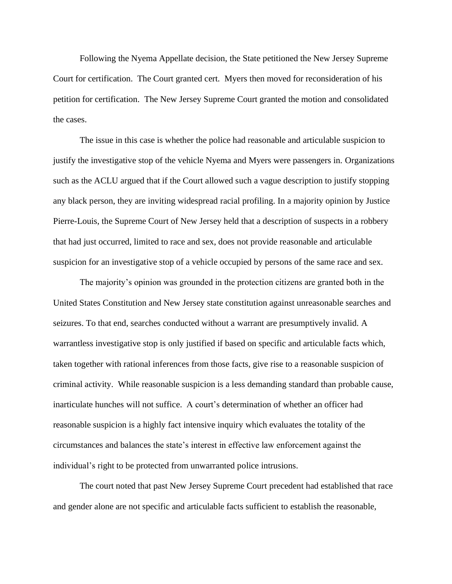Following the Nyema Appellate decision, the State petitioned the New Jersey Supreme Court for certification. The Court granted cert. Myers then moved for reconsideration of his petition for certification. The New Jersey Supreme Court granted the motion and consolidated the cases.

The issue in this case is whether the police had reasonable and articulable suspicion to justify the investigative stop of the vehicle Nyema and Myers were passengers in. Organizations such as the ACLU argued that if the Court allowed such a vague description to justify stopping any black person, they are inviting widespread racial profiling. In a majority opinion by Justice Pierre-Louis, the Supreme Court of New Jersey held that a description of suspects in a robbery that had just occurred, limited to race and sex, does not provide reasonable and articulable suspicion for an investigative stop of a vehicle occupied by persons of the same race and sex.

The majority's opinion was grounded in the protection citizens are granted both in the United States Constitution and New Jersey state constitution against unreasonable searches and seizures. To that end, searches conducted without a warrant are presumptively invalid. A warrantless investigative stop is only justified if based on specific and articulable facts which, taken together with rational inferences from those facts, give rise to a reasonable suspicion of criminal activity. While reasonable suspicion is a less demanding standard than probable cause, inarticulate hunches will not suffice. A court's determination of whether an officer had reasonable suspicion is a highly fact intensive inquiry which evaluates the totality of the circumstances and balances the state's interest in effective law enforcement against the individual's right to be protected from unwarranted police intrusions.

The court noted that past New Jersey Supreme Court precedent had established that race and gender alone are not specific and articulable facts sufficient to establish the reasonable,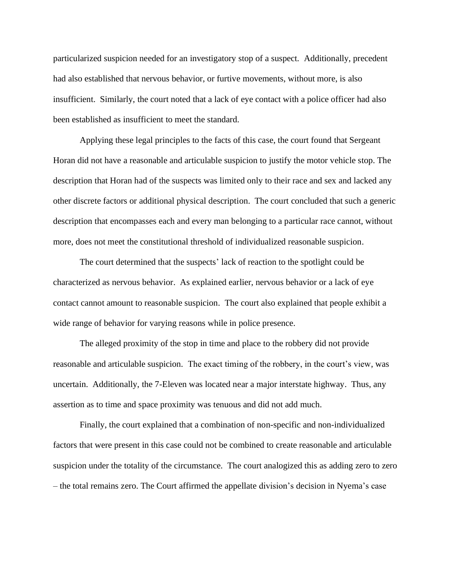particularized suspicion needed for an investigatory stop of a suspect. Additionally, precedent had also established that nervous behavior, or furtive movements, without more, is also insufficient. Similarly, the court noted that a lack of eye contact with a police officer had also been established as insufficient to meet the standard.

Applying these legal principles to the facts of this case, the court found that Sergeant Horan did not have a reasonable and articulable suspicion to justify the motor vehicle stop. The description that Horan had of the suspects was limited only to their race and sex and lacked any other discrete factors or additional physical description. The court concluded that such a generic description that encompasses each and every man belonging to a particular race cannot, without more, does not meet the constitutional threshold of individualized reasonable suspicion.

The court determined that the suspects' lack of reaction to the spotlight could be characterized as nervous behavior. As explained earlier, nervous behavior or a lack of eye contact cannot amount to reasonable suspicion. The court also explained that people exhibit a wide range of behavior for varying reasons while in police presence.

The alleged proximity of the stop in time and place to the robbery did not provide reasonable and articulable suspicion. The exact timing of the robbery, in the court's view, was uncertain. Additionally, the 7-Eleven was located near a major interstate highway. Thus, any assertion as to time and space proximity was tenuous and did not add much.

Finally, the court explained that a combination of non-specific and non-individualized factors that were present in this case could not be combined to create reasonable and articulable suspicion under the totality of the circumstance. The court analogized this as adding zero to zero – the total remains zero. The Court affirmed the appellate division's decision in Nyema's case